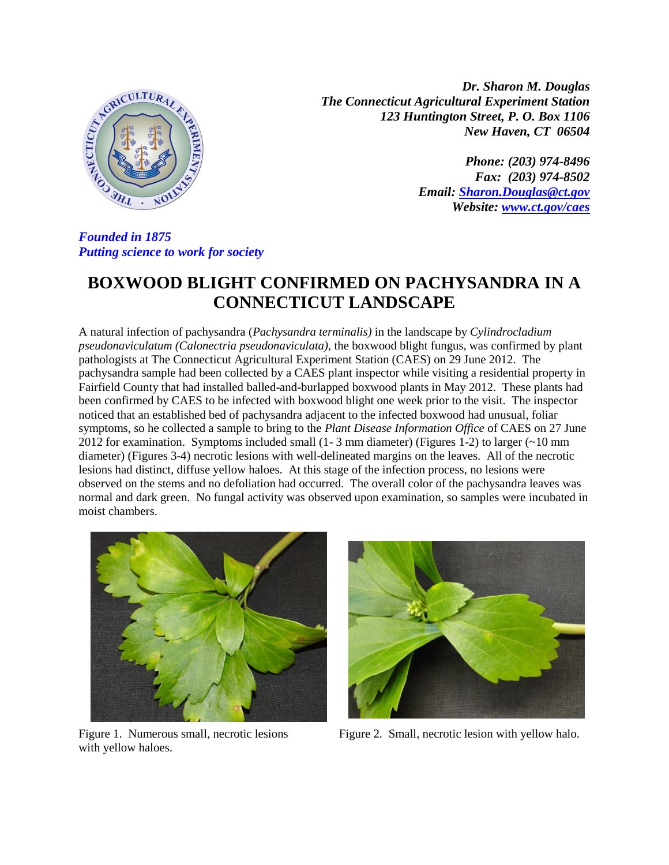

*Dr. Sharon M. Douglas The Connecticut Agricultural Experiment Station 123 Huntington Street, P. O. Box 1106 New Haven, CT 06504*

> *Phone: (203) 974-8496 Fax: (203) 974-8502 Email: [Sharon.Douglas@ct.gov](mailto:Sharon.Douglas@ct.gov) Website: [www.ct.gov/caes](http://www.ct.gov/caes)*

*Founded in 1875 Putting science to work for society*

## **BOXWOOD BLIGHT CONFIRMED ON PACHYSANDRA IN A CONNECTICUT LANDSCAPE**

A natural infection of pachysandra (*Pachysandra terminalis)* in the landscape by *Cylindrocladium pseudonaviculatum (Calonectria pseudonaviculata),* the boxwood blight fungus, was confirmed by plant pathologists at The Connecticut Agricultural Experiment Station (CAES) on 29 June 2012. The pachysandra sample had been collected by a CAES plant inspector while visiting a residential property in Fairfield County that had installed balled-and-burlapped boxwood plants in May 2012. These plants had been confirmed by CAES to be infected with boxwood blight one week prior to the visit. The inspector noticed that an established bed of pachysandra adjacent to the infected boxwood had unusual, foliar symptoms, so he collected a sample to bring to the *Plant Disease Information Office* of CAES on 27 June 2012 for examination. Symptoms included small (1- 3 mm diameter) (Figures 1-2) to larger (~10 mm diameter) (Figures 3-4) necrotic lesions with well-delineated margins on the leaves. All of the necrotic lesions had distinct, diffuse yellow haloes. At this stage of the infection process, no lesions were observed on the stems and no defoliation had occurred. The overall color of the pachysandra leaves was normal and dark green. No fungal activity was observed upon examination, so samples were incubated in moist chambers.



Figure 1. Numerous small, necrotic lesions with yellow haloes.



Figure 2. Small, necrotic lesion with yellow halo.